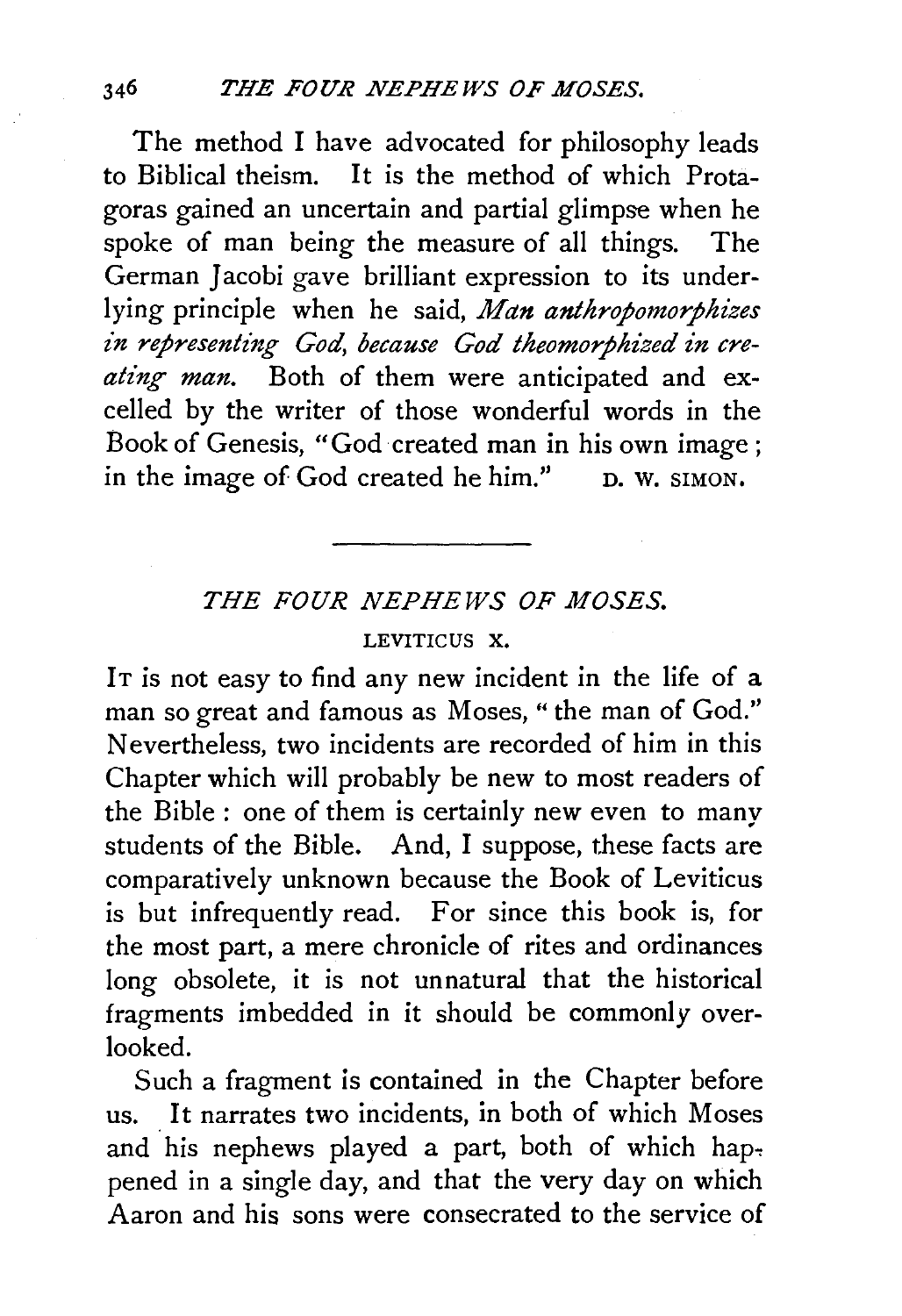The method I have advocated for philosophy leads to Biblical theism. It is the method of which Protagoras gained an uncertain and partial glimpse when he spoke of man being the measure of all things. The German Jacobi gave brilliant expression to its underlying principle when he said, *Man anthropomorphizes*  in representing God, because God theomorphized in creating man. Both of them were anticipated and excelled by the writer of those wonderful words in the Book of Genesis, "God created man in his own image ; in the image of God created he him." D. W. SIMON.

## *THE FOUR NEPHEWS OF MOSES.*

## LEVITICUS X.

IT is not easy to find any new incident in the life of a man so great and famous as Moses, "the man of God." Nevertheless, two incidents are recorded of him in this Chapter which will probably be new to most readers of the Bible : one of them is certainly new even to many students of the Bible. And, I suppose, these facts are comparatively unknown because the Book of Leviticus is but infrequently read. For since this book is, for the most part, a mere chronicle of rites and ordinances long obsolete, it is not unnatural that the historical fragments imbedded in it should be commonly overlooked.

Such a fragment is contained in the Chapter before us. It narrates two incidents, in both of which Moses and his nephews played a part, both of which happened in a single day, and that the very day on which Aaron and his sons were consecrated to the service of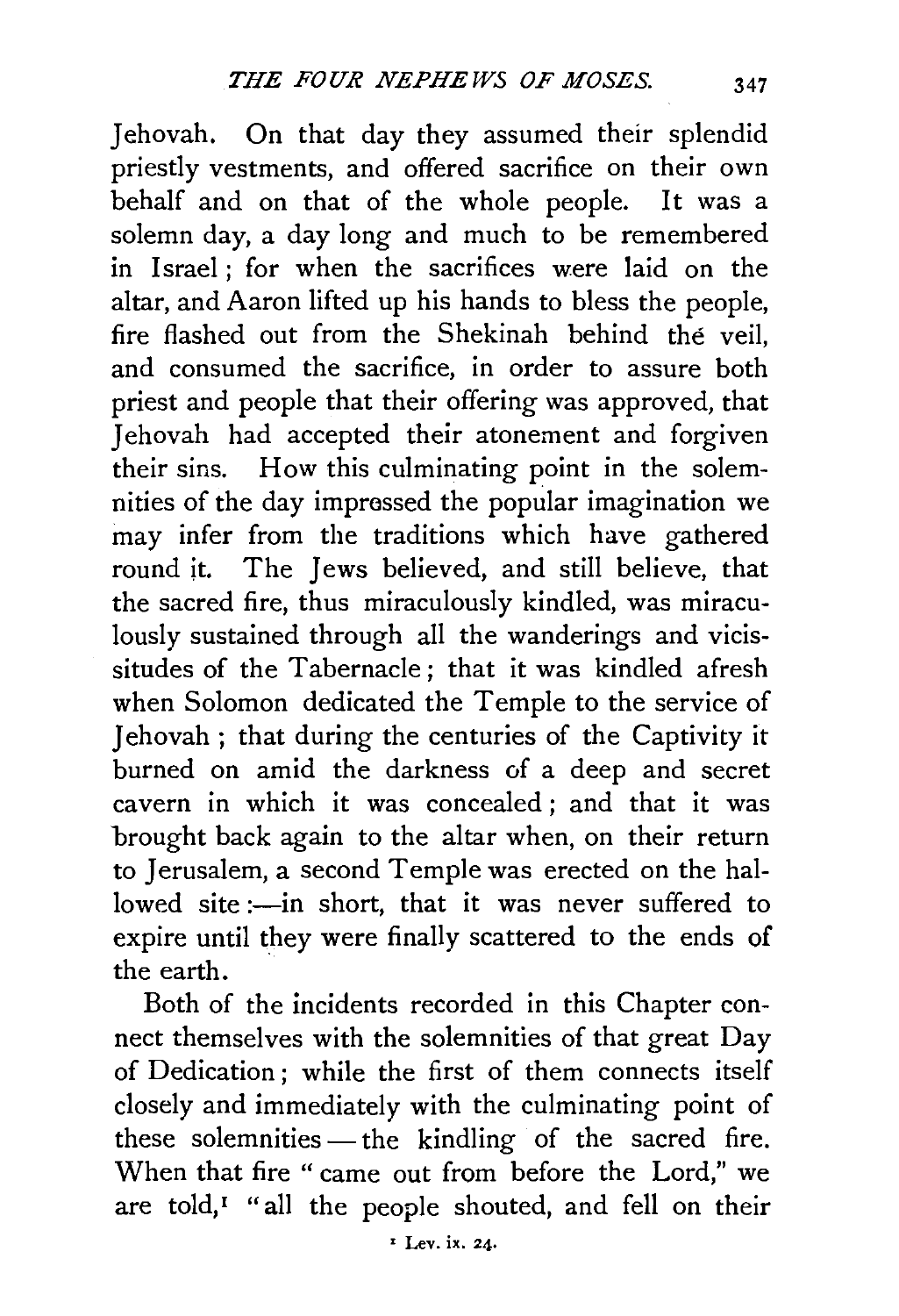Jehovah. On that day they assumed their splendid priestly vestments, and offered sacrifice on their own behalf and on that of the whole people. It was a solemn day, a day long and much to be remembered in Israel ; for when the sacrifices were laid on the altar, and Aaron lifted up his hands to bless the people, fire flashed out from the Shekinah behind the veil, and consumed the sacrifice, in order to assure both priest and people that their offering was approved, that Jehovah had accepted their atonement and forgiven their sins. How this culminating point in the solemnities of the day impressed the popular imagination we may infer from the traditions which have gathered round it. The Jews believed, and still believe, that the sacred fire, thus miraculously kindled, was miraculously sustained through all the wanderings and vicissitudes of the Tabernacle; that it was kindled afresh when Solomon dedicated the Temple to the service of Jehovah; that during the centuries of the Captivity it burned on amid the darkness of a deep and secret cavern in which it was concealed; and that it was brought back again to the altar when, on their return to Jerusalem, a second Temple was erected on the hallowed site :- in short, that it was never suffered to expire until they were finally scattered to the ends of the earth.

Both of the incidents recorded in this Chapter connect themselves with the solemnities of that great Day of Dedication ; while the first of them connects itself closely and immediately with the culminating point of these solemnities —the kindling of the sacred fire. When that fire " came out from before the Lord," we are told,<sup> $I$ </sup> "all the people shouted, and fell on their

• Lev. ix. 24.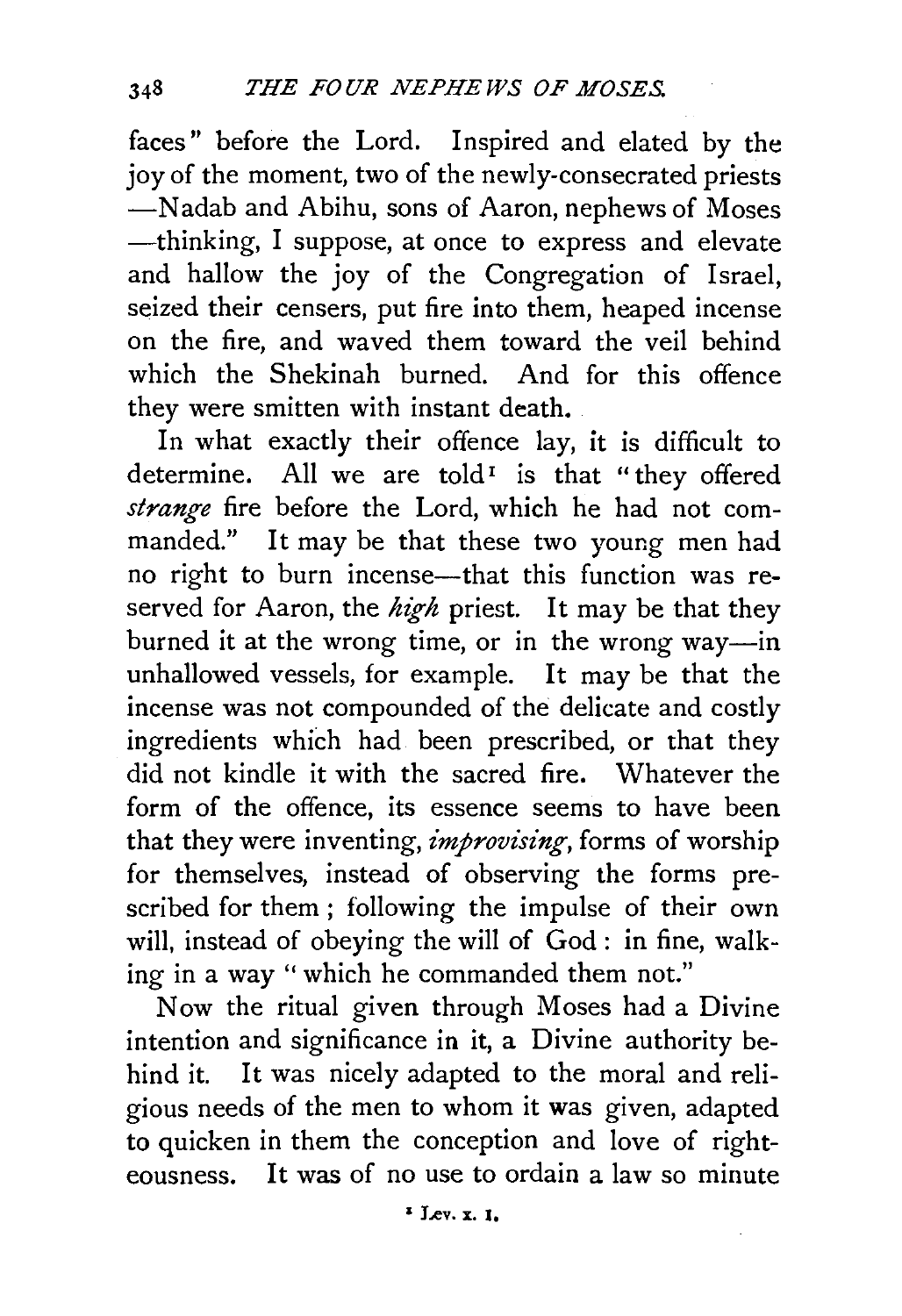faces" before the Lord. Inspired and elated by the joy of the moment, two of the newly-consecrated priests -Nadab and Abihu, sons of Aaron, nephews of Moses -thinking, I suppose, at once to express and elevate and hallow the joy of the Congregation of Israel, seized their censers, put fire into them, heaped incense on the fire, and waved them toward the veil behind which the Shekinah burned. And for this offence they were smitten with instant death.

In what exactly their offence lay, it is difficult to determine. All we are told<sup>1</sup> is that "they offered *strange* fire before the Lord, which he had not commanded." It may be that these two young men had no right to burn incense—that this function was reserved for Aaron, the high priest. It may be that they burned it at the wrong time, or in the wrong way-in unhallowed vessels, for example. It may be that the incense was not compounded of the delicate and costly ingredients which had been prescribed, or that they did not kindle it with the sacred fire. Whatever the form of the offence, its essence seems to have been that they were inventing, *improvising*, forms of worship for themselves, instead of observing the forms prescribed for them; following the impulse of their own will, instead of obeying the will of God : in fine, walking in a way " which he commanded them not."

Now the ritual given through Moses had a Divine intention and significance in it, a Divine authority behind it. It was nicely adapted to the moral and religious needs of the men to whom it was given, adapted to quicken in them the conception and love of righteousness. It was of no use to ordain a law so minute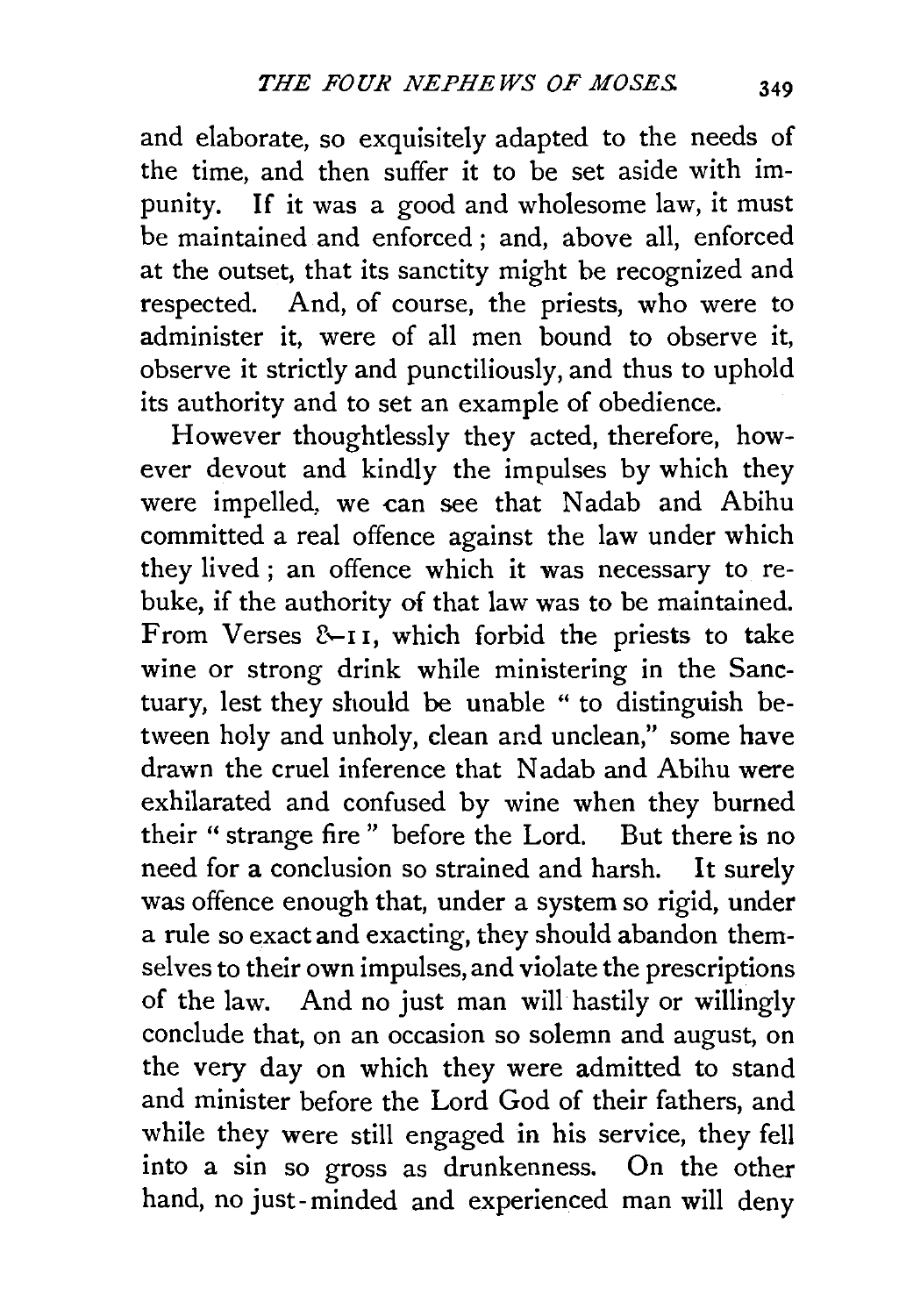and elaborate, so exquisitely adapted to the needs of the time, and then suffer it to be set aside with impunity. If it was a good and wholesome law, it must be maintained and enforced ; and, above all, enforced at the outset, that its sanctity might be recognized and respected. And, of course, the priests, who were to administer it, were of all men bound to observe it, observe it strictly and punctiliously, and thus to uphold its authority and to set an example of obedience.

However thoughtlessly they acted, therefore, however devout and kindly the impulses by which they were impelled, we can see that Nadab and Abihu committed a real offence against the law under which they lived; an offence which it was necessary to rebuke, if the authority of that law was to be maintained. From Verses &-11, which forbid the priests to take wine or strong drink while ministering in the Sanctuary, lest they should be unable " to distinguish between holy and unholy, clean and unclean," some have drawn the cruel inference that N adab and Abihu were exhilarated and confused by wine when they burned their " strange fire " before the Lord. But there is no need for a conclusion so strained and harsh. It surely was offence enough that, under a system so rigid, under a rule so exact and exacting, they should abandon themselves to their own impulses, and violate the prescriptions of the law. And no just man will hastily or willingly conclude that, on an occasion so solemn and august, on the very day on which they were admitted to stand and minister before the Lord God of their fathers, and while they were still engaged in his service, they fell into a sin so gross as drunkenness. On the other hand, no just-minded and experienced man will deny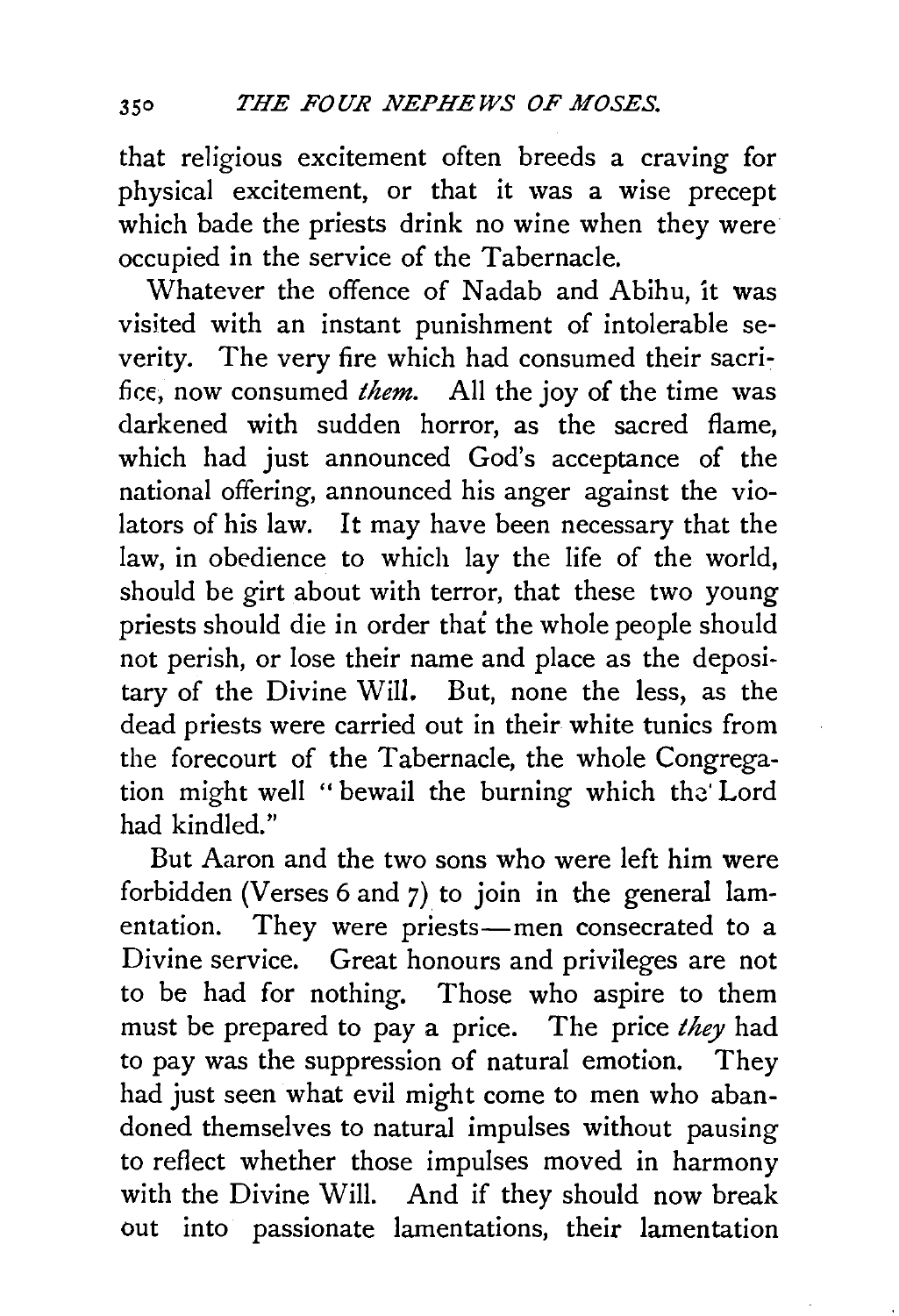that religious excitement often breeds a craving for physical excitement, or that it was a wise precept which bade the priests drink no wine when they were occupied in the service of the Tabernacle.

Whatever the offence of Nadab and Abihu, it was visited with an instant punishment of intolerable severity. The very fire which had consumed their sacrifice, now consumed *them.* All the joy of the time was darkened with sudden horror, as the sacred flame, which had just announced God's acceptance of the national offering, announced his anger against the violators of his law. It may have been necessary that the law, in obedience to which lay the life of the world, should be girt about with terror, that these two young priests should die in order that the whole people should not perish, or lose their name and place as the depositary of the Divine Will. But, none the less, as the dead priests were carried out in their white tunics from the forecourt of the Tabernacle, the whole Congregation might well "bewail the burning which the Lord had kindled."

But Aaron and the two sons who were left him were forbidden (Verses 6 and 7) to join in the general lamentation. They were priests-men consecrated to a Divine service. Great honours and privileges are not to be had for nothing. Those who aspire to them must be prepared to pay a price. The price *they* had to pay was the suppression of natural emotion. They had just seen what evil might come to men who abandoned themselves to natural impulses without pausing to reflect whether those impulses moved in harmony with the Divine Will. And if they should now break out into passionate lamentations, their lamentation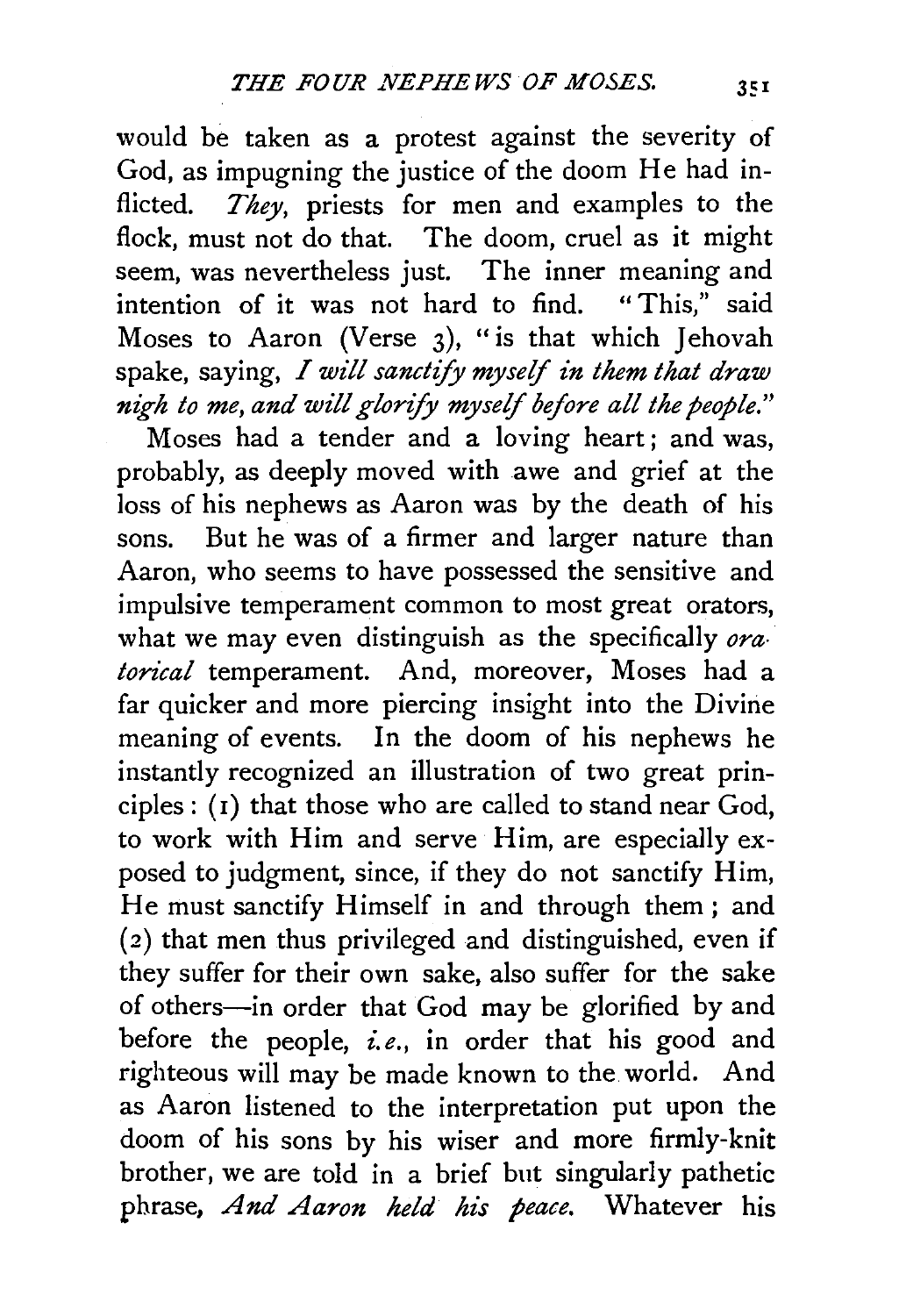would be taken as a protest against the severity of God, as impugning the justice of the doom He had inflicted. *They*, priests for men and examples to the flock, must not do that. The doom, cruel as it might seem, was nevertheless just. The inner meaning and<br>intention of it was not hard to find. "This." said  $intention of it was not hard to find.$ Moses to Aaron (Verse  $3$ ), "is that which Jehovah spake, saying, *I will sanctify myself in them that draw nigh to me, and will glorify myself before all the people."* 

Moses had a tender and a loving heart; and was, probably, as deeply moved with awe and grief at the loss of his nephews as Aaron was by the death of his sons. But he was of a firmer and larger nature than Aaron, who seems to have possessed the sensitive and impulsive temperament common to most great orators, what we may even distinguish as the specifically *ora*<sup>1</sup> *torical* temperament. And, moreover, Moses had a far quicker and more piercing insight into the Divine meaning of events. In the doom of his nephews he instantly recognized an illustration of two great principles: (1) that those who are called to stand near God, to work with Him and serve Him, are especially exposed to judgment, since, if they do not sanctify Him, He must sanctify Himself in and through them; and ( 2) that men thus privileged and distinguished, even if they suffer for their own sake, also suffer for the sake of others-in order that God may be glorified by and before the people, *i.e.,* in order that his good and righteous will may be made known to the world. And as Aaron listened to the interpretation put upon the doom of his sons by his wiser and more firmly-knit brother, we are told in a brief but singularly pathetic phrase, *And Aaron held his peace.* Whatever his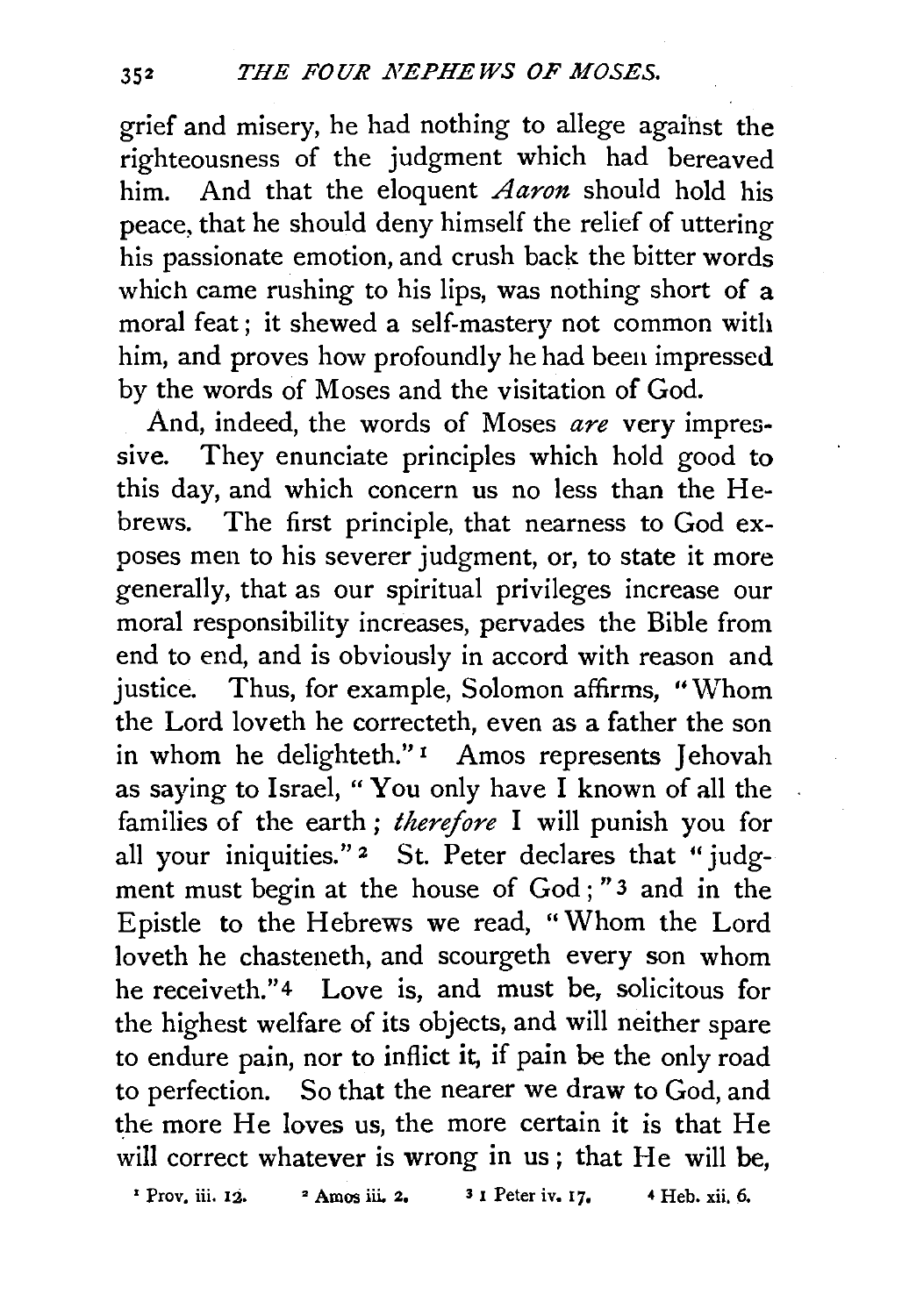grief and misery, he had nothing to allege against the righteousness of the judgment which had bereaved him. And that the eloquent *Aaron* should hold his peace, that he should deny himself the relief of uttering his passionate emotion, and crush back the bitter words which came rushing to his lips, was nothing short of a moral feat ; it shewed a self-mastery not common with him, and proves how profoundly he had been impressed by the words of Moses and the visitation of God.

And, indeed, the words of Moses *are* very impressive. They enunciate principles which hold good to this day, and which concern us no less than the He-<br>brews. The first principle, that nearness to God ex-The first principle, that nearness to God exposes men to his severer judgment, or, to state it more generally, that as our spiritual privileges increase our moral responsibility increases, pervades the Bible from end to end, and is obviously in accord with reason and justice. Thus, for example, Solomon affirms, "Whom the Lord loveth he correcteth, even as a father the son in whom he delighteth."<sup>1</sup> Amos represents Jehovah as saying to Israel, " You only have I known of all the families of the earth ; *therefore* I will punish you for all your iniquities."<sup>2</sup> St. Peter declares that "judgment must begin at the house of God ; "3 and in the Epistle to the Hebrews we read, "Whom the Lord loveth he chasteneth, and scourgeth every son whom he receiveth."<sup>4</sup> Love is, and must be, solicitous for the highest welfare of its objects, and will neither spare to endure pain, nor to inflict it, if pain be the only road to perfection. So that the nearer we draw to God, and the more He loves us, the more certain it is that He will correct whatever is wrong in us; that He will be,

' Prov, iii. 12. • Amos iii. 2. *3* I Peter iv. 17. 4 Heb. xii. 6.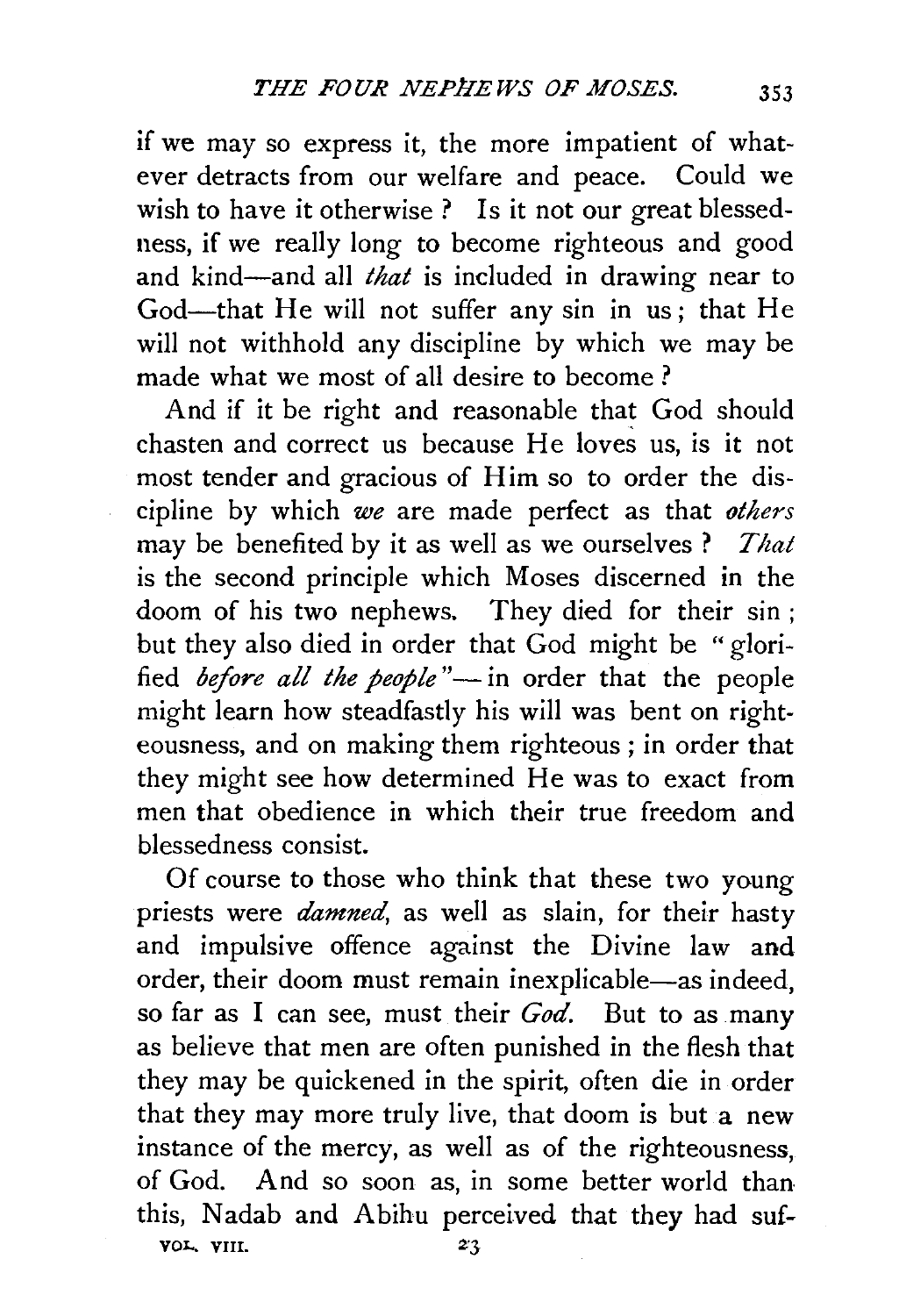if we may so express it, the more impatient of whatever detracts from our welfare and peace. Could we wish to have it otherwise ? Is it not our great blessedness, if we really long to become righteous and good and kind-and all *that* is included in drawing near to God-that He will not suffer any sin in us; that He will not withhold any discipline by which we may be made what we most of all desire to become ?

And if it be right and reasonable that God should chasten and correct us because He loves us, is it not most tender and gracious of Him so to order the discipline by which *we* are made perfect as that *others*  may be benefited by it as well as we ourselves? *That*  is the second principle which Moses discerned in the doom of his two nephews. They died for their sin ; but they also died in order that God might be "glorified *before all the people*"-in order that the people might learn how steadfastly his will was bent on righteousness, and on making them righteous ; in order that they might see how determined He was to exact from men that obedience in which their true freedom and blessedness consist.

Of course to those who think that these two young priests were *damned,* as well as slain, for their hasty and impulsive offence against the Divine law and order, their doom must remain inexplicable-as indeed, so far as I can see, must their *God.* But to as many as believe that men are often punished in the flesh that they may be quickened in the spirit, often die in order that they may more truly live, that doom is but a new instance of the mercy, as well as of the righteousness, of God. And so soon as, in some better world than this, Nadab and Abihu perceived that they had sufvol.. VIII. *ZJ*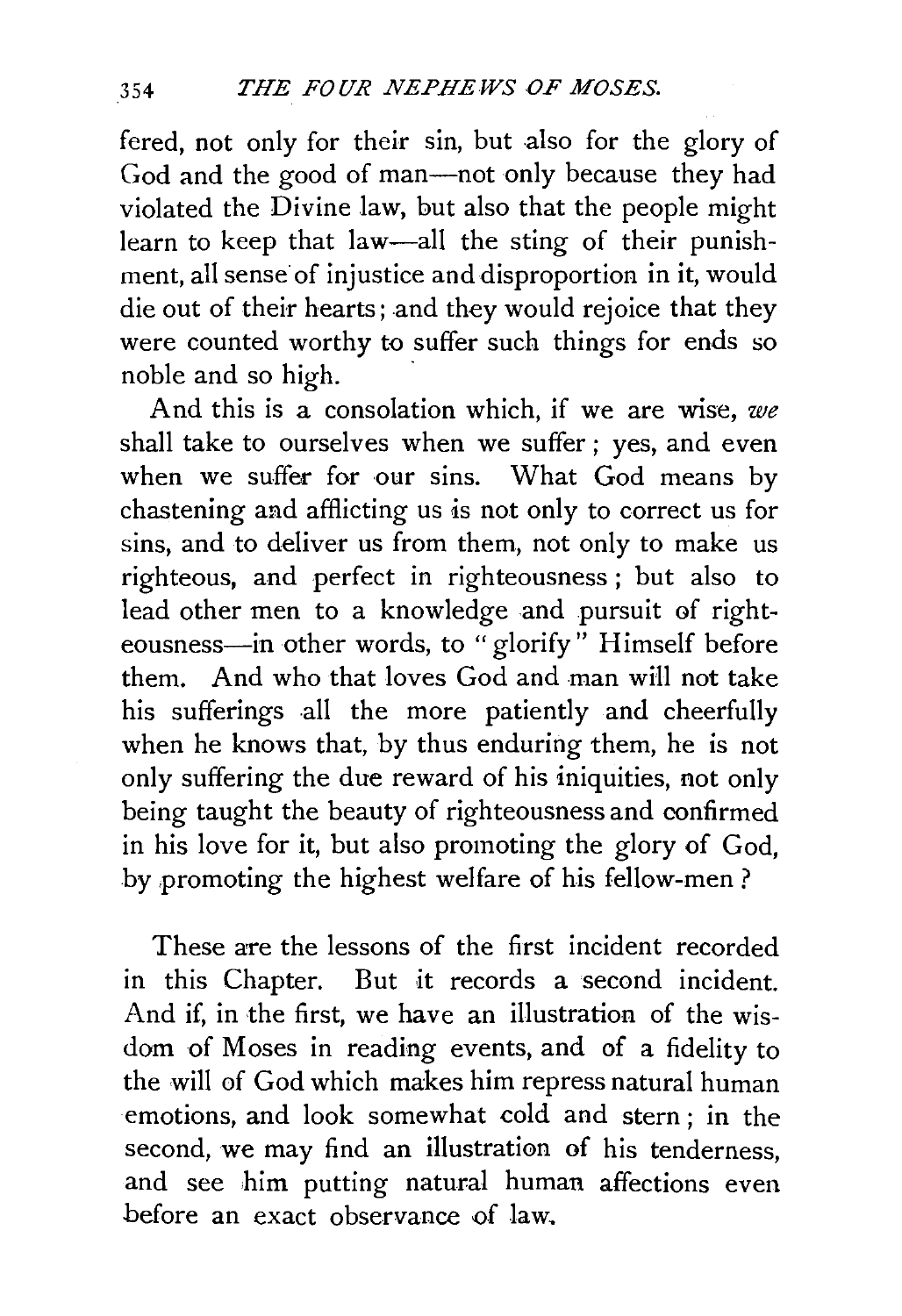fered, not only for their sin, but also for the glory of God and the good of man-not only because they had violated the Divine law, but also that the people might learn to keep that law-all the sting of their punishment, all sense of injustice and disproportion in it, would die out of their hearts; and they would rejoice that they were counted worthy to suffer such things for ends so noble and so high.

And this is a consolation which, if we are wise, *we*  shall take to ourselves when we suffer; yes, and even when we suffer for our sins. What God means by chastening and afflicting us is not only to correct us for sins, and to deliver us from them, not only to make us righteous, and perfect in righteousness ; but also to lead other men to a knowledge and pursuit of righteousness-in other words, to "glorify" Himself before them. And who that loves God and man will not take his sufferings all the more patiently and cheerfully when he knows that, by thus enduring them, he is not only suffering the due reward of his iniquities, not only being taught the beauty of righteousness and confirmed in his love for it, but also promoting the glory of God, by promoting the highest welfare of his fellow-men?

These are the lessons of the first incident recorded in this Chapter. But it records a second incident. And if, in the first, we have an illustration of the wisdom of Moses in reading events, and of a fidelity to the will of God which makes him repress natural human emotions, and look somewhat cold and stern ; in the second, we may find an illustration of his tenderness, and see him putting natural human affections even before an exact observance of law.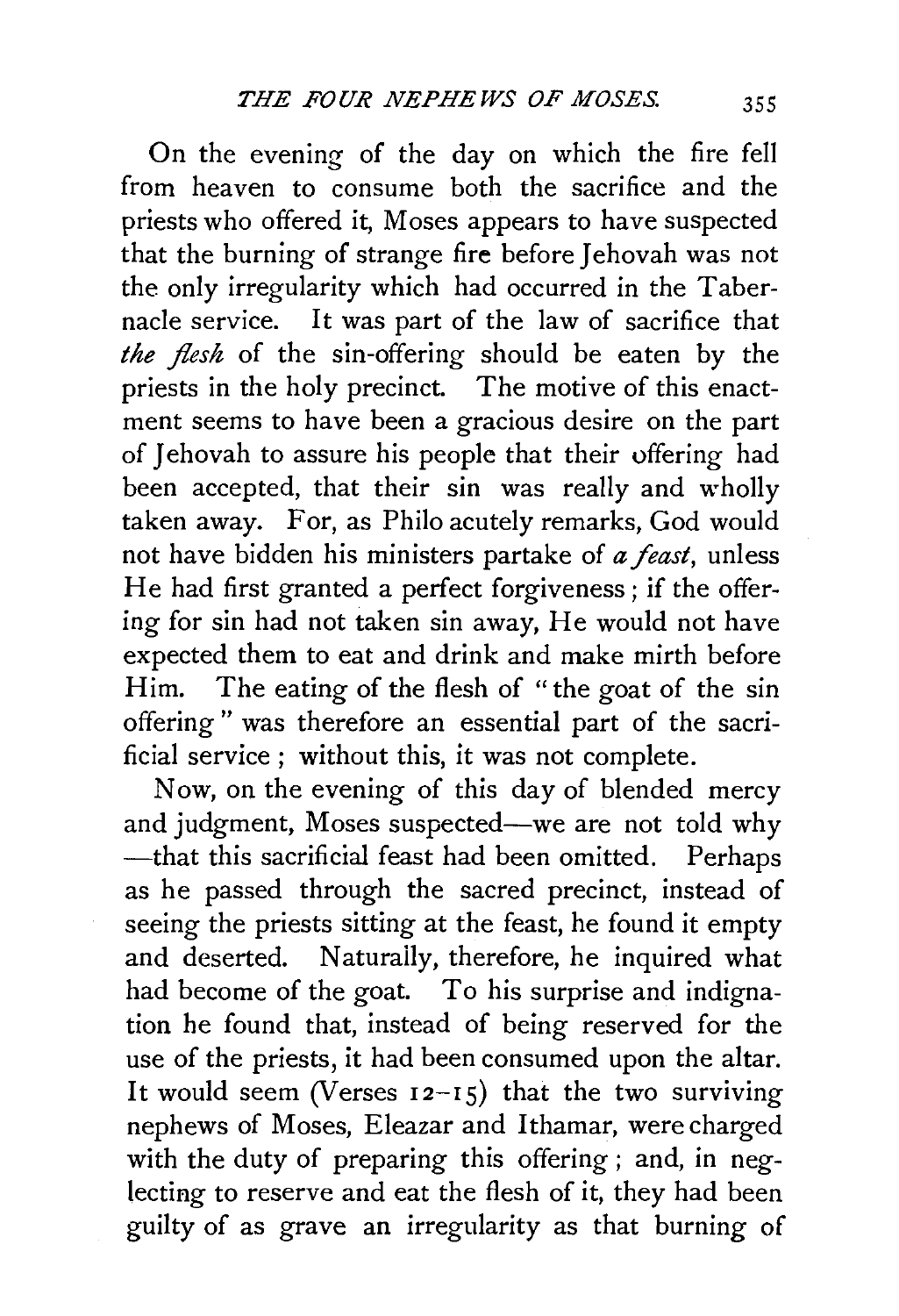On the evening of the day on which the fire fell from heaven to consume both the sacrifice and the priests who offered it, Moses appears to have suspected that the burning of strange fire before Jehovah was not the only irregularity which had occurred in the Tabernacle service. It was part of the law of sacrifice that *the flesh* of the sin-offering should be eaten by the priests in the holy precinct. The motive of this enactment seems to have been a gracious desire on the part of Jehovah to assure his people that their offering had been accepted, that their sin was really and wholly taken away. For, as Philo acutely remarks, God would not have bidden his ministers partake of *a feast,* unless He had first granted a perfect forgiveness ; if the offering for sin had not taken sin away, He would not have expected them to eat and drink and make mirth before Him. The eating of the flesh of " the goat of the sin offering" was therefore an essential part of the sacrificial service ; without this, it was not complete.

Now, on the evening of this day of blended mercy and judgment, Moses suspected-we are not told why -that this sacrificial feast had been omitted. Perhaps as he passed through the sacred precinct, instead of seeing the priests sitting at the feast, he found it empty and deserted. Naturally, therefore, he inquired what had become of the goat. To his surprise and indignation he found that, instead of being reserved for the use of the priests, it had been consumed upon the altar. It would seem (Verses  $12-15$ ) that the two surviving nephews of Moses, Eleazar and I thamar, were charged with the duty of preparing this offering ; and, in neglecting to reserve and eat the flesh of it, they had been guilty of as grave an irregularity as that burning of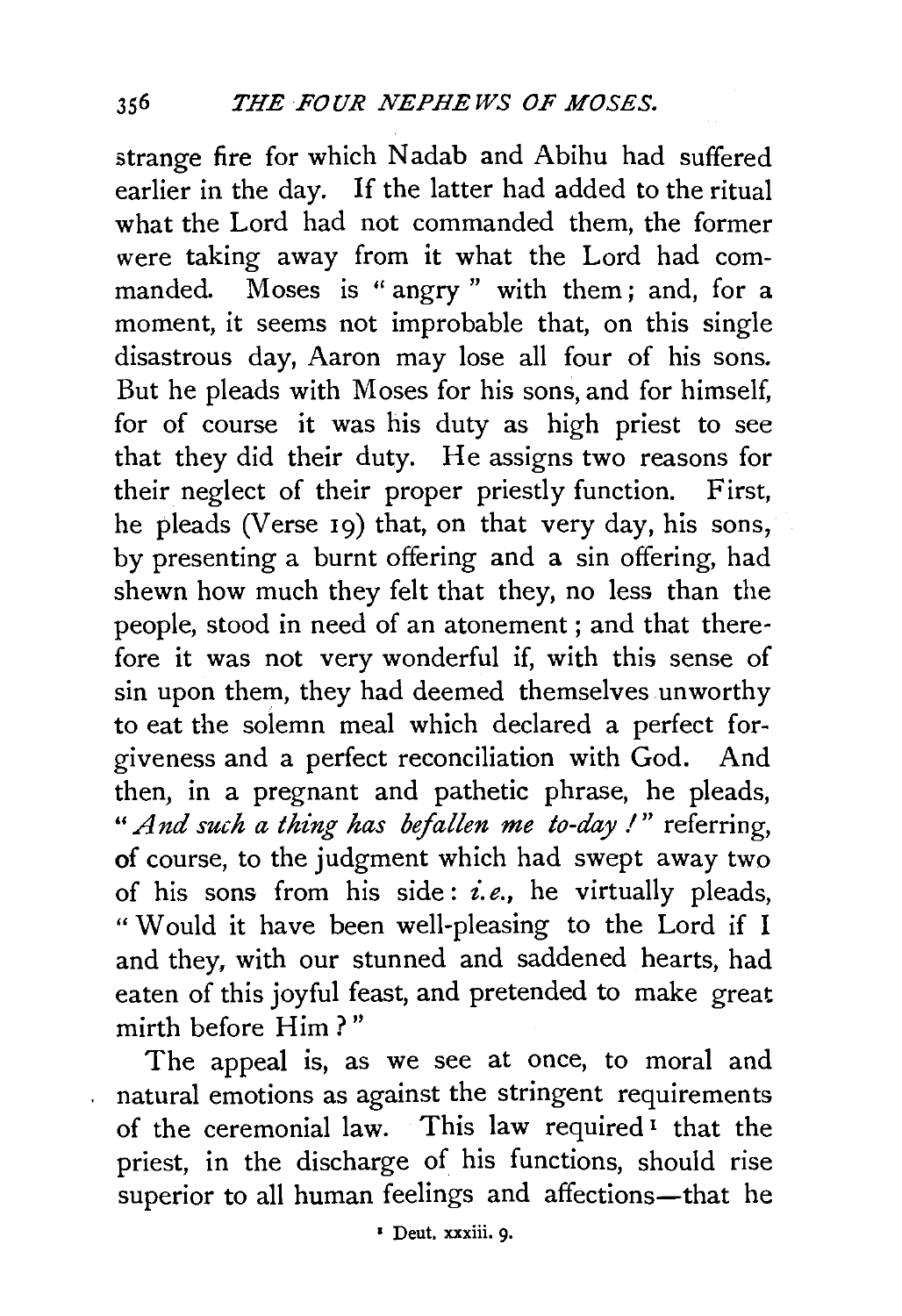strange fire for which Nadab and Abihu had suffered earlier in the day. If the latter had added to the ritual what the Lord had not commanded them, the former were taking away from it what the Lord had commanded. Moses is " angry " with them; and, for a moment, it seems not improbable that, on this single disastrous day, Aaron may lose all four of his sons. But he pleads with Moses for his sons, and for himself, for of course it was his duty as high priest to see that they did their duty. He assigns two reasons for their neglect of their proper priestly function. First, he pleads (Verse 19) that, on that very day, his sons, by presenting a burnt offering and a sin offering, had shewn how much they felt that they, no less than the people, stood in need of an atonement ; and that therefore it was not very wonderful if, with this sense of sin upon them, they had deemed themselves unworthy to eat the solemn meal which declared a perfect forgiveness and a perfect reconciliation with God. And then, in a pregnant and pathetic phrase, he pleads, " And such a thing has befallen me to-day !" referring, of course, to the judgment which had swept away two of his sons from his side : *£.e.,* he virtually pleads, " Would it have been well-pleasing to the Lord if I and they, with our stunned and saddened hearts, had eaten of this joyful feast, and pretended to make great mirth before Him ? "

The appeal is, as we see at once, to moral and natural emotions as against the stringent requirements of the ceremonial law. This law required 1 that the priest, in the discharge of his functions, should rise superior to all human feelings and affections-that he

 $\ddot{\phantom{a}}$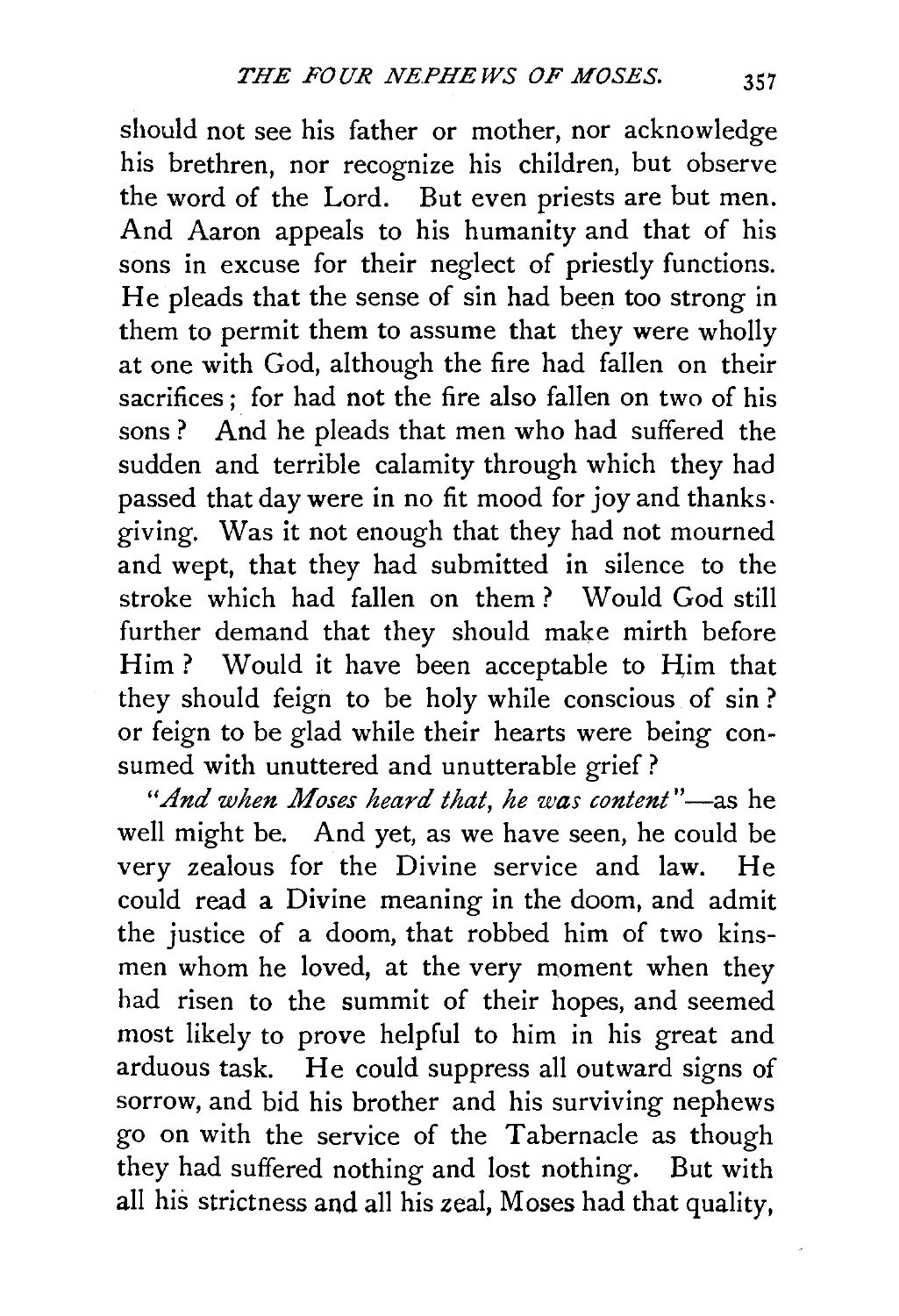should not see his father or mother, nor acknowledge his brethren, nor recognize his children, but observe the word of the Lord. But even priests are but men. And Aaron appeals to his humanity and that of his sons in excuse for their neglect of priestly functions. He pleads that the sense of sin had been too strong in them to permit them to assume that they were wholly at one with God, although the fire had fallen on their sacrifices ; for had not the fire also fallen on two of his sons ? And he pleads that men who had suffered the sudden and terrible calamity through which they had passed that day were in no fit mood for joy and thanks. giving. Was it not enough that they had not mourned and wept, that they had submitted in silence to the stroke which had fallen on them ? Would God still further demand that they should make mirth before Him? Would it have been acceptable to Him that they should feign to be holy while conscious of sin ? or feign to be glad while their hearts were being consumed with unuttered and unutterable grief ?

*"And when Moses heard that, he was content* "-as he well might be. And yet, as we have seen, he could be very zealous for the Divine service and law. He could read a Divine meaning in the doom, and admit the justice of a doom, that robbed him of two kinsmen whom he loved, at the very moment when they had risen to the summit of their hopes, and seemed most likely to prove helpful to him in his great and arduous task. He could suppress all outward signs of sorrow, and bid his brother and his surviving nephews go on with the service of the Tabernacle as though they had suffered nothing and lost nothing. But with all his strictness and all his zeal, Moses had that quality,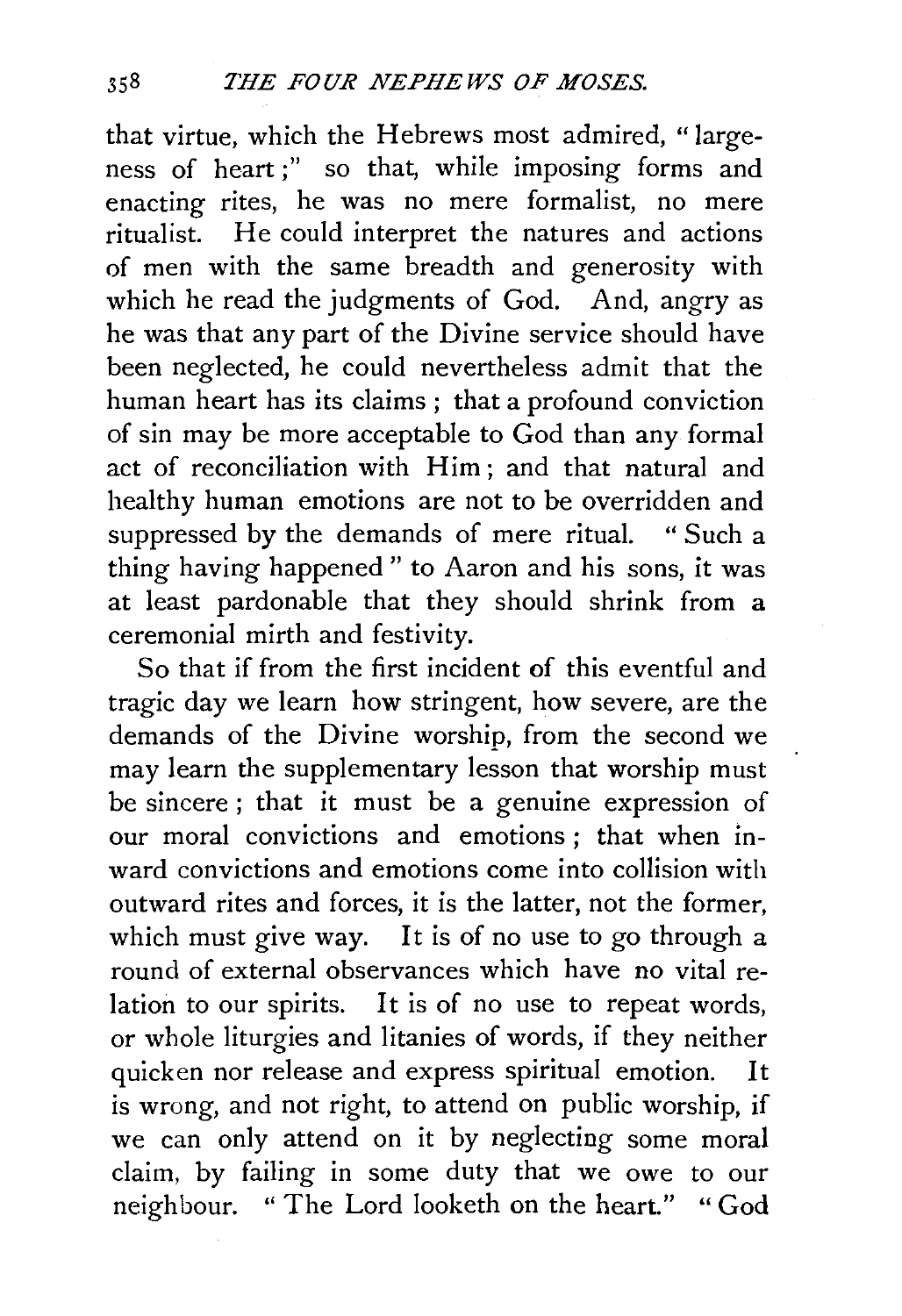that virtue, which the Hebrews most admired, "largeness of heart;" so that, while imposing forms and enacting rites, he was no mere formalist, no mere ritualist. He could interpret the natures and actions of men with the same breadth and generosity with which he read the judgments of God. And, angry as he was that any part of the Divine service should have been neglected, he could nevertheless admit that the human heart has its claims ; that a profound conviction of sin may be more acceptable to God than any formal act of reconciliation with Him; and that natural and healthy human emotions are not to be overridden and suppressed by the demands of mere ritual. " Such a thing having happened " to Aaron and his sons, it was at least pardonable that they should shrink from a ceremonial mirth and festivity.

So that if from the first incident of this eventful and tragic day we learn how stringent, how severe, are the demands of the Divine worship, from the second we may learn the supplementary lesson that worship must be sincere ; that it must be a genuine expression of our moral convictions and emotions ; that when inward convictions and emotions come into collision with outward rites and forces, it is the latter, not the former, which must give way. It is of no use to go through a round of external observances which have no vital relation to our spirits. It is of no use to repeat words, or whole liturgies and litanies of words, if they neither quicken nor release and express spiritual emotion. It is wrong, and not right, to attend on public worship, if we can only attend on it by neglecting some moral claim, by failing in some duty that we owe to our neighbour. "The Lord looketh on the heart." "God